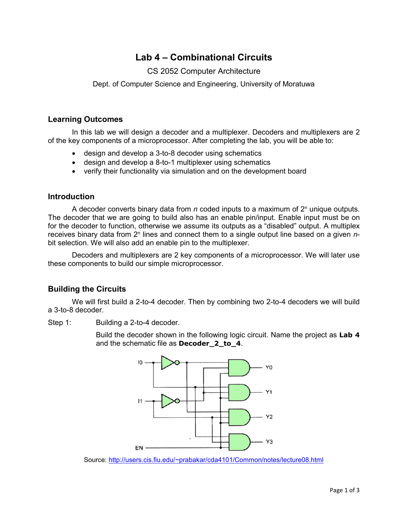# **Lab 4 – Combinational Circuits**

## CS 2052 Computer Architecture

Dept. of Computer Science and Engineering, University of Moratuwa

## **Learning Outcomes**

In this lab we will design a decoder and a multiplexer. Decoders and multiplexers are 2 of the key components of a microprocessor. After completing the lab, you will be able to:

- design and develop a 3-to-8 decoder using schematics
- design and develop a 8-to-1 multiplexer using schematics
- verify their functionality via simulation and on the development board

#### **Introduction**

A decoder converts binary data from  $n$  coded inputs to a maximum of  $2<sup>n</sup>$  unique outputs. The decoder that we are going to build also has an enable pin/input. Enable input must be on for the decoder to function, otherwise we assume its outputs as a "disabled" output. A multiplex receives binary data from 2<sup>n</sup> lines and connect them to a single output line based on a given *n*bit selection. We will also add an enable pin to the multiplexer.

Decoders and multiplexers are 2 key components of a microprocessor. We will later use these components to build our simple microprocessor.

## **Building the Circuits**

We will first build a 2-to-4 decoder. Then by combining two 2-to-4 decoders we will build a 3-to-8 decoder.

Step 1: Building a 2-to-4 decoder.

Build the decoder shown in the following logic circuit. Name the project as **Lab 4** and the schematic file as **Decoder\_2\_to\_4**.



Source:<http://users.cis.fiu.edu/~prabakar/cda4101/Common/notes/lecture08.html>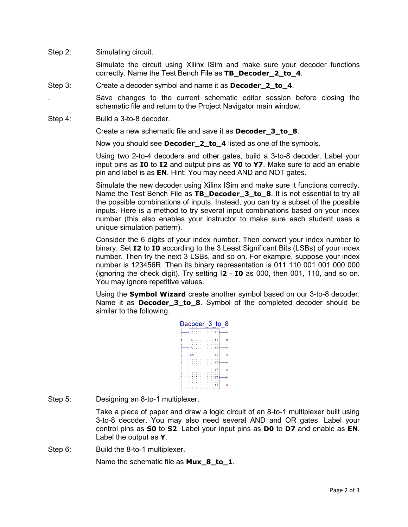Step 2: Simulating circuit.

Simulate the circuit using Xilinx ISim and make sure your decoder functions correctly. Name the Test Bench File as **TB\_Decoder\_2\_to\_4**.

Step 3: Create a decoder symbol and name it as **Decoder\_2\_to\_4**.

. Save changes to the current schematic editor session before closing the schematic file and return to the Project Navigator main window.

Step 4: Build a 3-to-8 decoder.

Create a new schematic file and save it as **Decoder\_3\_to\_8**.

Now you should see **Decoder\_2\_to\_4** listed as one of the symbols.

Using two 2-to-4 decoders and other gates, build a 3-to-8 decoder. Label your input pins as **I0** to **I2** and output pins as **Y0** to **Y7**. Make sure to add an enable pin and label is as **EN**. Hint: You may need AND and NOT gates.

Simulate the new decoder using Xilinx ISim and make sure it functions correctly. Name the Test Bench File as **TB\_Decoder\_3\_to\_8**. It is not essential to try all the possible combinations of inputs. Instead, you can try a subset of the possible inputs. Here is a method to try several input combinations based on your index number (this also enables your instructor to make sure each student uses a unique simulation pattern).

Consider the 6 digits of your index number. Then convert your index number to binary. Set **I2** to **I0** according to the 3 Least Significant Bits (LSBs) of your index number. Then try the next 3 LSBs, and so on. For example, suppose your index number is 123456R. Then its binary representation is 011 110 001 001 000 000 (ignoring the check digit). Try setting I**2** - **I0** as 000, then 001, 110, and so on. You may ignore repetitive values.

Using the **Symbol Wizard** create another symbol based on our 3-to-8 decoder. Name it as **Decoder\_3\_to\_8**. Symbol of the completed decoder should be similar to the following.

|  |  |   |    |  |  |  |  |  |  |    |  | Decoder 3 to 8 |  |
|--|--|---|----|--|--|--|--|--|--|----|--|----------------|--|
|  |  |   |    |  |  |  |  |  |  |    |  |                |  |
|  |  |   |    |  |  |  |  |  |  |    |  |                |  |
|  |  |   | ю  |  |  |  |  |  |  |    |  |                |  |
|  |  |   |    |  |  |  |  |  |  |    |  |                |  |
|  |  |   |    |  |  |  |  |  |  |    |  |                |  |
|  |  |   |    |  |  |  |  |  |  |    |  |                |  |
|  |  |   |    |  |  |  |  |  |  |    |  |                |  |
|  |  |   |    |  |  |  |  |  |  |    |  |                |  |
|  |  |   |    |  |  |  |  |  |  |    |  |                |  |
|  |  |   |    |  |  |  |  |  |  |    |  |                |  |
|  |  |   | כו |  |  |  |  |  |  |    |  |                |  |
|  |  |   |    |  |  |  |  |  |  |    |  |                |  |
|  |  |   |    |  |  |  |  |  |  |    |  |                |  |
|  |  | F |    |  |  |  |  |  |  | 3  |  |                |  |
|  |  |   |    |  |  |  |  |  |  |    |  |                |  |
|  |  |   |    |  |  |  |  |  |  |    |  |                |  |
|  |  |   |    |  |  |  |  |  |  |    |  |                |  |
|  |  |   |    |  |  |  |  |  |  | 14 |  |                |  |
|  |  |   |    |  |  |  |  |  |  |    |  |                |  |
|  |  |   |    |  |  |  |  |  |  |    |  |                |  |
|  |  |   |    |  |  |  |  |  |  | д  |  |                |  |
|  |  |   |    |  |  |  |  |  |  |    |  |                |  |
|  |  |   |    |  |  |  |  |  |  |    |  |                |  |
|  |  |   |    |  |  |  |  |  |  |    |  |                |  |
|  |  |   |    |  |  |  |  |  |  | 6  |  |                |  |
|  |  |   |    |  |  |  |  |  |  |    |  |                |  |
|  |  |   |    |  |  |  |  |  |  |    |  |                |  |
|  |  |   |    |  |  |  |  |  |  |    |  |                |  |
|  |  |   |    |  |  |  |  |  |  |    |  |                |  |
|  |  |   |    |  |  |  |  |  |  |    |  |                |  |
|  |  |   |    |  |  |  |  |  |  |    |  |                |  |
|  |  |   |    |  |  |  |  |  |  |    |  |                |  |

Step 5: Designing an 8-to-1 multiplexer.

Take a piece of paper and draw a logic circuit of an 8-to-1 multiplexer built using 3-to-8 decoder. You may also need several AND and OR gates. Label your control pins as **S0** to **S2**. Label your input pins as **D0** to **D7** and enable as **EN**. Label the output as **Y**.

Step 6: Build the 8-to-1 multiplexer.

Name the schematic file as **Mux 8 to 1**.